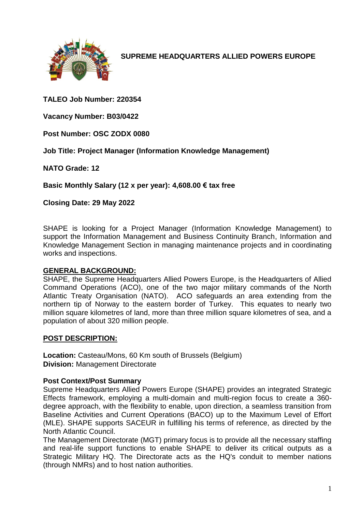

**SUPREME HEADQUARTERS ALLIED POWERS EUROPE**

**TALEO Job Number: 220354**

**Vacancy Number: B03/0422**

**Post Number: OSC ZODX 0080**

**Job Title: Project Manager (Information Knowledge Management)**

**NATO Grade: 12**

**Basic Monthly Salary (12 x per year): 4,608.00 € tax free** 

**Closing Date: 29 May 2022**

SHAPE is looking for a Project Manager (Information Knowledge Management) to support the Information Management and Business Continuity Branch, Information and Knowledge Management Section in managing maintenance projects and in coordinating works and inspections.

#### **GENERAL BACKGROUND:**

SHAPE, the Supreme Headquarters Allied Powers Europe, is the Headquarters of Allied Command Operations (ACO), one of the two major military commands of the North Atlantic Treaty Organisation (NATO). ACO safeguards an area extending from the northern tip of Norway to the eastern border of Turkey. This equates to nearly two million square kilometres of land, more than three million square kilometres of sea, and a population of about 320 million people.

# **POST DESCRIPTION:**

**Location:** Casteau/Mons, 60 Km south of Brussels (Belgium) **Division:** Management Directorate

#### **Post Context/Post Summary**

Supreme Headquarters Allied Powers Europe (SHAPE) provides an integrated Strategic Effects framework, employing a multi-domain and multi-region focus to create a 360 degree approach, with the flexibility to enable, upon direction, a seamless transition from Baseline Activities and Current Operations (BACO) up to the Maximum Level of Effort (MLE). SHAPE supports SACEUR in fulfilling his terms of reference, as directed by the North Atlantic Council.

The Management Directorate (MGT) primary focus is to provide all the necessary staffing and real-life support functions to enable SHAPE to deliver its critical outputs as a Strategic Military HQ. The Directorate acts as the HQ's conduit to member nations (through NMRs) and to host nation authorities.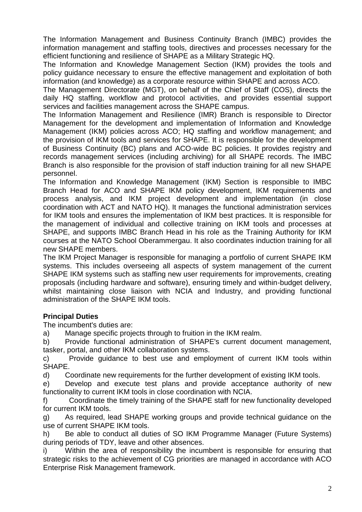The Information Management and Business Continuity Branch (IMBC) provides the information management and staffing tools, directives and processes necessary for the efficient functioning and resilience of SHAPE as a Military Strategic HQ.

The Information and Knowledge Management Section (IKM) provides the tools and policy guidance necessary to ensure the effective management and exploitation of both information (and knowledge) as a corporate resource within SHAPE and across ACO.

The Management Directorate (MGT), on behalf of the Chief of Staff (COS), directs the daily HQ staffing, workflow and protocol activities, and provides essential support services and facilities management across the SHAPE campus.

The Information Management and Resilience (IMR) Branch is responsible to Director Management for the development and implementation of Information and Knowledge Management (IKM) policies across ACO; HQ staffing and workflow management; and the provision of IKM tools and services for SHAPE. It is responsible for the development of Business Continuity (BC) plans and ACO-wide BC policies. It provides registry and records management services (including archiving) for all SHAPE records. The IMBC Branch is also responsible for the provision of staff induction training for all new SHAPE personnel.

The Information and Knowledge Management (IKM) Section is responsible to IMBC Branch Head for ACO and SHAPE IKM policy development, IKM requirements and process analysis, and IKM project development and implementation (in close coordination with ACT and NATO HQ). It manages the functional administration services for IKM tools and ensures the implementation of IKM best practices. It is responsible for the management of individual and collective training on IKM tools and processes at SHAPE, and supports IMBC Branch Head in his role as the Training Authority for IKM courses at the NATO School Oberammergau. It also coordinates induction training for all new SHAPE members.

The IKM Project Manager is responsible for managing a portfolio of current SHAPE IKM systems. This includes overseeing all aspects of system management of the current SHAPE IKM systems such as staffing new user requirements for improvements, creating proposals (including hardware and software), ensuring timely and within-budget delivery, whilst maintaining close liaison with NCIA and Industry, and providing functional administration of the SHAPE IKM tools.

# **Principal Duties**

The incumbent's duties are:

a) Manage specific projects through to fruition in the IKM realm.

b) Provide functional administration of SHAPE's current document management, tasker, portal, and other IKM collaboration systems.

c) Provide guidance to best use and employment of current IKM tools within SHAPE.

d) Coordinate new requirements for the further development of existing IKM tools.

e) Develop and execute test plans and provide acceptance authority of new functionality to current IKM tools in close coordination with NCIA.

f) Coordinate the timely training of the SHAPE staff for new functionality developed for current IKM tools.

g) As required, lead SHAPE working groups and provide technical guidance on the use of current SHAPE IKM tools.

h) Be able to conduct all duties of SO IKM Programme Manager (Future Systems) during periods of TDY, leave and other absences.

i) Within the area of responsibility the incumbent is responsible for ensuring that strategic risks to the achievement of CG priorities are managed in accordance with ACO Enterprise Risk Management framework.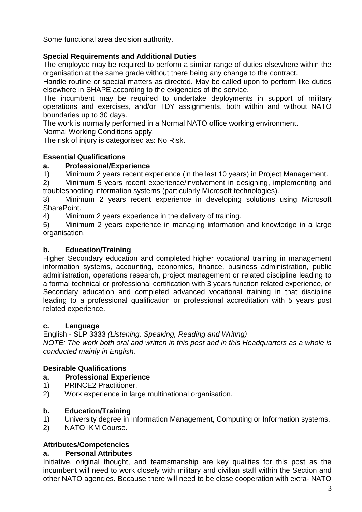Some functional area decision authority.

# **Special Requirements and Additional Duties**

The employee may be required to perform a similar range of duties elsewhere within the organisation at the same grade without there being any change to the contract.

Handle routine or special matters as directed. May be called upon to perform like duties elsewhere in SHAPE according to the exigencies of the service.

The incumbent may be required to undertake deployments in support of military operations and exercises, and/or TDY assignments, both within and without NATO boundaries up to 30 days.

The work is normally performed in a Normal NATO office working environment.

Normal Working Conditions apply.

The risk of injury is categorised as: No Risk.

# **Essential Qualifications**

### **a. Professional/Experience**

1) Minimum 2 years recent experience (in the last 10 years) in Project Management.

2) Minimum 5 years recent experience/involvement in designing, implementing and troubleshooting information systems (particularly Microsoft technologies).

3) Minimum 2 years recent experience in developing solutions using Microsoft SharePoint.

4) Minimum 2 years experience in the delivery of training.

5) Minimum 2 years experience in managing information and knowledge in a large organisation.

### **b. Education/Training**

Higher Secondary education and completed higher vocational training in management information systems, accounting, economics, finance, business administration, public administration, operations research, project management or related discipline leading to a formal technical or professional certification with 3 years function related experience, or Secondary education and completed advanced vocational training in that discipline leading to a professional qualification or professional accreditation with 5 years post related experience.

# **c. Language**

English - SLP 3333 *(Listening, Speaking, Reading and Writing) NOTE: The work both oral and written in this post and in this Headquarters as a whole is conducted mainly in English.*

# **Desirable Qualifications**

#### **a. Professional Experience**

- 1) PRINCE2 Practitioner.
- 2) Work experience in large multinational organisation.

#### **b. Education/Training**

- 1) University degree in Information Management, Computing or Information systems.
- 2) NATO IKM Course.

# **Attributes/Competencies**

#### **a. Personal Attributes**

Initiative, original thought, and teamsmanship are key qualities for this post as the incumbent will need to work closely with military and civilian staff within the Section and other NATO agencies. Because there will need to be close cooperation with extra- NATO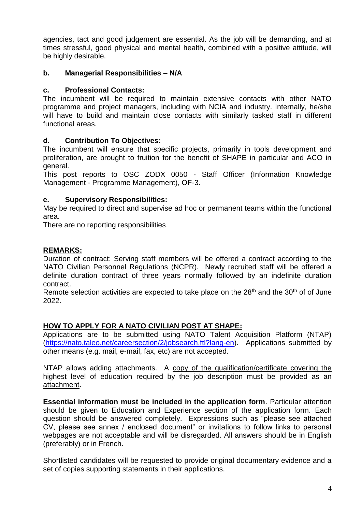agencies, tact and good judgement are essential. As the job will be demanding, and at times stressful, good physical and mental health, combined with a positive attitude, will be highly desirable.

# **b. Managerial Responsibilities – N/A**

# **c. Professional Contacts:**

The incumbent will be required to maintain extensive contacts with other NATO programme and project managers, including with NCIA and industry. Internally, he/she will have to build and maintain close contacts with similarly tasked staff in different functional areas.

# **d. Contribution To Objectives:**

The incumbent will ensure that specific projects, primarily in tools development and proliferation, are brought to fruition for the benefit of SHAPE in particular and ACO in general.

This post reports to OSC ZODX 0050 - Staff Officer (Information Knowledge Management - Programme Management), OF-3.

# **e. Supervisory Responsibilities:**

May be required to direct and supervise ad hoc or permanent teams within the functional area.

There are no reporting responsibilities.

# **REMARKS:**

Duration of contract: Serving staff members will be offered a contract according to the NATO Civilian Personnel Regulations (NCPR). Newly recruited staff will be offered a definite duration contract of three years normally followed by an indefinite duration contract.

Remote selection activities are expected to take place on the  $28<sup>th</sup>$  and the  $30<sup>th</sup>$  of of June 2022.

# **HOW TO APPLY FOR A NATO CIVILIAN POST AT SHAPE:**

Applications are to be submitted using NATO Talent Acquisition Platform (NTAP) [\(https://nato.taleo.net/careersection/2/jobsearch.ftl?lang-en\)](https://nato.taleo.net/careersection/1/jobsearch.ftl?lang-en). Applications submitted by other means (e.g. mail, e-mail, fax, etc) are not accepted.

NTAP allows adding attachments. A copy of the qualification/certificate covering the highest level of education required by the job description must be provided as an attachment.

**Essential information must be included in the application form**. Particular attention should be given to Education and Experience section of the application form. Each question should be answered completely. Expressions such as "please see attached CV, please see annex / enclosed document" or invitations to follow links to personal webpages are not acceptable and will be disregarded. All answers should be in English (preferably) or in French.

Shortlisted candidates will be requested to provide original documentary evidence and a set of copies supporting statements in their applications.